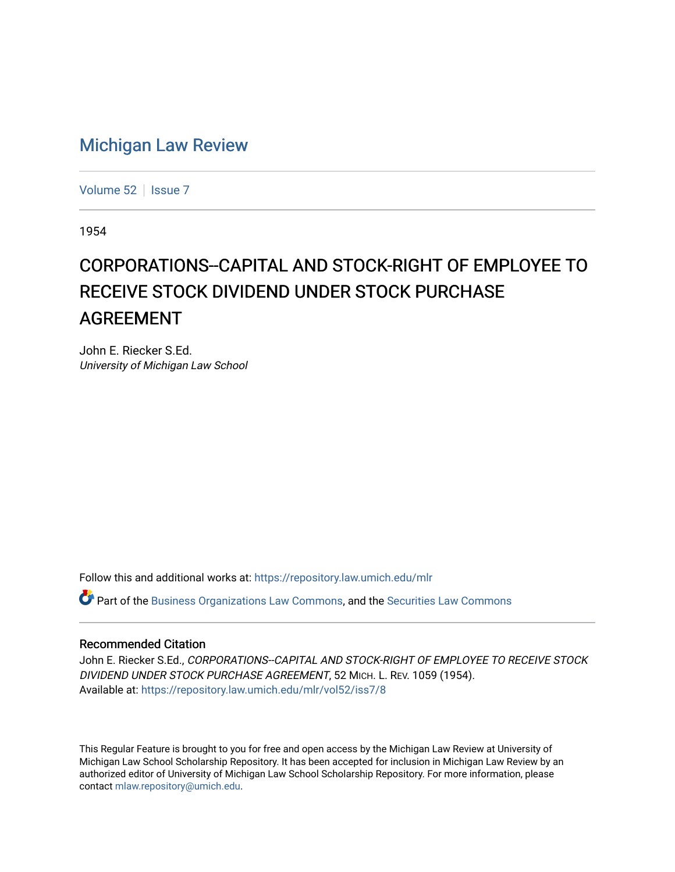## [Michigan Law Review](https://repository.law.umich.edu/mlr)

[Volume 52](https://repository.law.umich.edu/mlr/vol52) | [Issue 7](https://repository.law.umich.edu/mlr/vol52/iss7)

1954

## CORPORATIONS--CAPITAL AND STOCK-RIGHT OF EMPLOYEE TO RECEIVE STOCK DIVIDEND UNDER STOCK PURCHASE AGREEMENT

John E. Riecker S.Ed. University of Michigan Law School

Follow this and additional works at: [https://repository.law.umich.edu/mlr](https://repository.law.umich.edu/mlr?utm_source=repository.law.umich.edu%2Fmlr%2Fvol52%2Fiss7%2F8&utm_medium=PDF&utm_campaign=PDFCoverPages) 

 $\bullet$  Part of the [Business Organizations Law Commons](http://network.bepress.com/hgg/discipline/900?utm_source=repository.law.umich.edu%2Fmlr%2Fvol52%2Fiss7%2F8&utm_medium=PDF&utm_campaign=PDFCoverPages), and the Securities Law Commons

## Recommended Citation

John E. Riecker S.Ed., CORPORATIONS--CAPITAL AND STOCK-RIGHT OF EMPLOYEE TO RECEIVE STOCK DIVIDEND UNDER STOCK PURCHASE AGREEMENT, 52 MICH. L. REV. 1059 (1954). Available at: [https://repository.law.umich.edu/mlr/vol52/iss7/8](https://repository.law.umich.edu/mlr/vol52/iss7/8?utm_source=repository.law.umich.edu%2Fmlr%2Fvol52%2Fiss7%2F8&utm_medium=PDF&utm_campaign=PDFCoverPages)

This Regular Feature is brought to you for free and open access by the Michigan Law Review at University of Michigan Law School Scholarship Repository. It has been accepted for inclusion in Michigan Law Review by an authorized editor of University of Michigan Law School Scholarship Repository. For more information, please contact [mlaw.repository@umich.edu](mailto:mlaw.repository@umich.edu).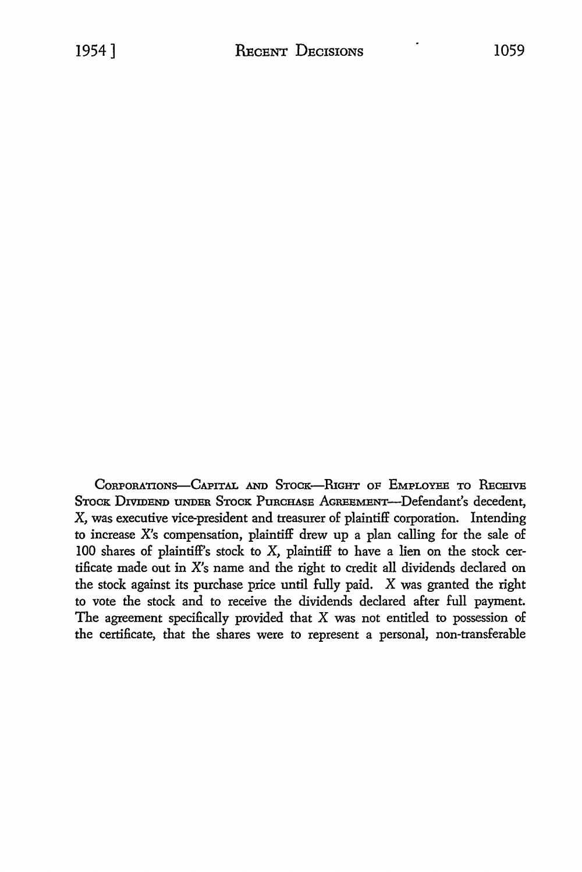CORPORATIONS-CAPITAL AND STOCK-RIGHT OF EMPLOYEE TO RECEIVE STOCK DIVIDEND UNDER STOCK PURCHASE AGREEMENT-Defendant's decedent, X, was executive vice-president and treasurer of plaintiff corporation. Intending to increase X's compensation, plaintiff drew up a plan calling for the sale of 100 shares of plaintiff's stock to X, plaintiff to have a lien on the stock certificate made out in X's name and the right to credit all dividends declared on the stock against its purchase price until fully paid. X was granted the right to vote the stock and to receive the dividends declared after full payment. The agreement specifically provided that X was not entitled to possession of the certificate, that the shares were to represent a personal, non-transferable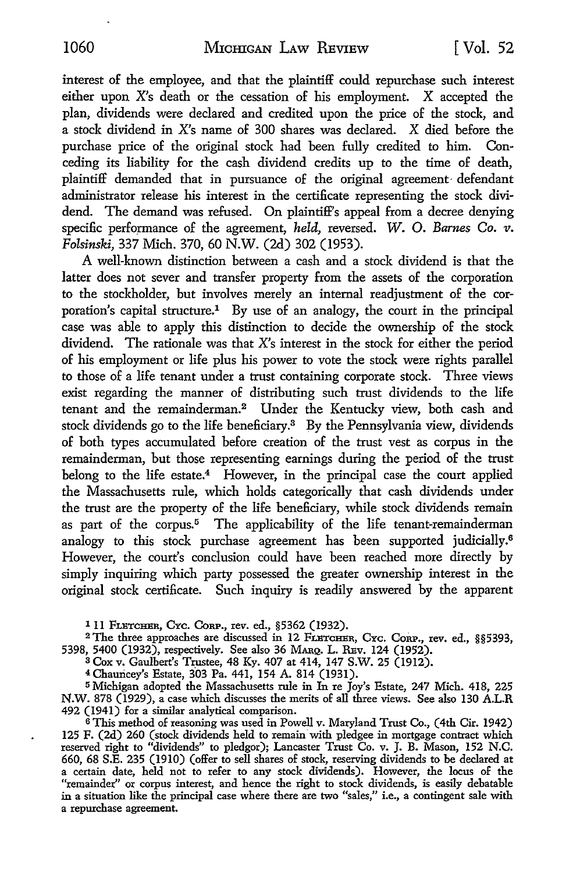interest of the employee, and that the plaintiff could repurchase such interest either upon X's death or the cessation of his employment. X accepted the plan, dividends were declared and credited upon the price of the stock, and a stock dividend in X's name of 300 shares was declared. X died before the purchase price of the original stock had been fully credited to him. Conceding its liability for the cash dividend credits up to the time of death, plaintiff demanded that in pursuance of the original agreement· defendant administrator release his interest in the certificate representing the stock dividend. The demand was refused. On plaintiff's appeal from a decree denying specific performance of the agreement, *held*, reversed. W. O. *Barnes Co. v. Folsinski,* 337 Mich. 370, 60 N.W. (2d) 302 (1953).

A well-known distinction between a cash and a stock dividend is that the latter does not sever and transfer property from the assets of the corporation to the stockholder, but involves merely an internal readjustment of the corporation's capital structure.1 By use of an analogy, the court in the principal case was able to apply this distinction to decide the ownership of the stock dividend. The rationale was that X's interest in the stock for either the period of his employment or life plus his power to vote the stock were rights parallel to those of a life tenant under a trust containing corporate stock. Three views exist regarding the manner of distributing such trust dividends to the life tenant and the remainderman.<sup>2</sup> Under the Kentucky view, both cash and stock dividends go to the life beneficiary.3 By the Pennsylvania view, dividends of both types accumulated before creation of the trust vest as corpus in the remainderman, but those representing earnings during the period of the trust belong to the life estate.<sup>4</sup> However, in the principal case the court applied the Massachusetts rule, which holds categorically that cash dividends under the trust are the property of the life beneficiary, while stock dividends remain as part of the corpus.<sup>5</sup> The applicability of the life tenant-remainderman analogy to this stock purchase agreement has been supported judicially.<sup>6</sup> However, the court's conclusion could have been reached more directly by simply inquiring which party possessed the greater ownership interest in the original stock certificate. Such inquiry is readily answered by the apparent

I 11 FLETCHER, CYC. CORP., rev. ed., §5362 (1932).<br><sup>2</sup> The three approaches are discussed in 12 FLETCHER, Cyc. Core., rev. ed., §§5393, 5398, 5400 (1932), respectively. See also 36 MARQ. L. REv. 124 (1952).

 $3 \text{ Cox } v$ . Gaulbert's Trustee, 48 Ky. 407 at 414, 147 S.W. 25 (1912).

<sup>4</sup>Chauncey's Estate, 303 Pa. 441, 154 A. 814 (1931).

<sup>5</sup>Michigan adopted the Massachusetts rule in In re Joy's Estate, 247 Mich. 418, 225 N.W. 878 (1929), a case which discusses the merits of all three views. See also 130 A.L.R 492 (1941) for a similar analytical comparison.

<sup>6</sup>This method of reasoning was used in Powell v. Maryland Trust Co., ( 4th Cir. 1942) 125 F. (2d) 260 (stock dividends held to remain with pledgee in mortgage contract which reserved right to "dividends" to pledgor); Lancaster Trust Co. v. J. B. Mason, 152 N.C. 660, 68 S.E. 235 (1910) (offer to sell shares of stock, reserving dividends to be declared at a certain date, held not to refer to any stock dividends). However, the locus of the "remainder" or corpus interest, and hence the right to stock dividends, is easily debatable in a situation like the principal case where there are two "sales," i.e., a contingent sale with a repurchase agreement.